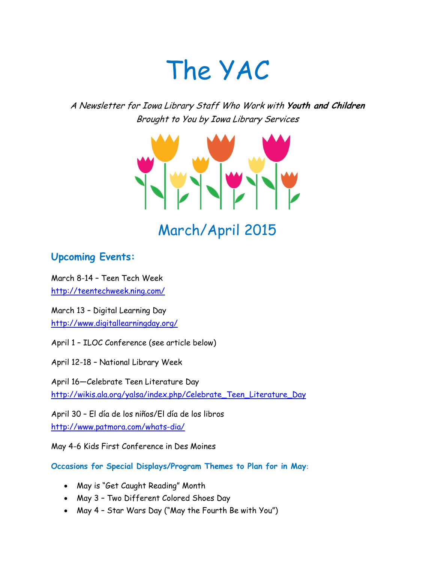# The YAC

A Newsletter for Iowa Library Staff Who Work with **Youth and Children** Brought to You by Iowa Library Services



## **Upcoming Events:**

March 8-14 – Teen Tech Week <http://teentechweek.ning.com/>

March 13 – Digital Learning Day <http://www.digitallearningday.org/>

April 1 – ILOC Conference (see article below)

April 12-18 – National Library Week

April 16—Celebrate Teen Literature Day [http://wikis.ala.org/yalsa/index.php/Celebrate\\_Teen\\_Literature\\_Day](http://wikis.ala.org/yalsa/index.php/Celebrate_Teen_Literature_Day)

April 30 – El día de los niños/El día de los libros <http://www.patmora.com/whats-dia/>

May 4-6 Kids First Conference in Des Moines

**Occasions for Special Displays/Program Themes to Plan for in May**:

- May is "Get Caught Reading" Month
- May 3 Two Different Colored Shoes Day
- May 4 Star Wars Day ("May the Fourth Be with You")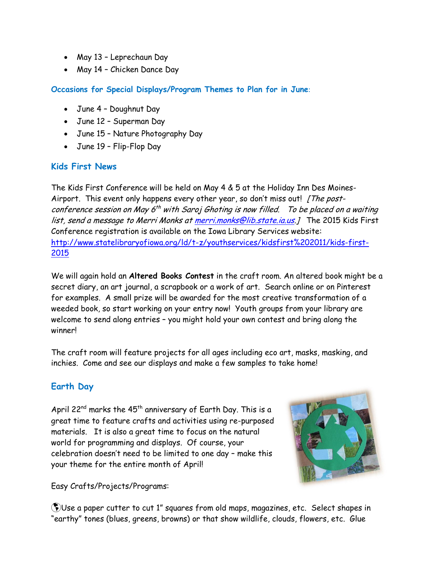- May 13 Leprechaun Day
- May 14 Chicken Dance Day

**Occasions for Special Displays/Program Themes to Plan for in June**:

- June 4 Doughnut Day
- June 12 Superman Day
- June 15 Nature Photography Day
- June 19 Flip-Flop Day

#### **Kids First News**

The Kids First Conference will be held on May 4 & 5 at the Holiday Inn Des Moines-Airport. This event only happens every other year, so don't miss out! [The postconference session on May 6<sup>th</sup> with Saroj Ghoting is now filled. To be placed on a waiting list, send a message to Merri Monks a[t merri.monks@lib.state.ia.us.](mailto:merri.monks@lib.state.ia.us)] The 2015 Kids First Conference registration is available on the Iowa Library Services website: [http://www.statelibraryofiowa.org/ld/t-z/youthservices/kidsfirst%202011/kids-first-](http://www.statelibraryofiowa.org/ld/t-z/youthservices/kidsfirst%202011/kids-first-2015)[2015](http://www.statelibraryofiowa.org/ld/t-z/youthservices/kidsfirst%202011/kids-first-2015)

We will again hold an **Altered Books Contest** in the craft room. An altered book might be a secret diary, an art journal, a scrapbook or a work of art. Search online or on Pinterest for examples. A small prize will be awarded for the most creative transformation of a weeded book, so start working on your entry now! Youth groups from your library are welcome to send along entries – you might hold your own contest and bring along the winner!

The craft room will feature projects for all ages including eco art, masks, masking, and inchies. Come and see our displays and make a few samples to take home!

## **Earth Day**

April 22<sup>nd</sup> marks the  $45<sup>th</sup>$  anniversary of Earth Day. This is a great time to feature crafts and activities using re-purposed materials. It is also a great time to focus on the natural world for programming and displays. Of course, your celebration doesn't need to be limited to one day – make this your theme for the entire month of April!



Easy Crafts/Projects/Programs:

Use a paper cutter to cut 1" squares from old maps, magazines, etc. Select shapes in "earthy" tones (blues, greens, browns) or that show wildlife, clouds, flowers, etc. Glue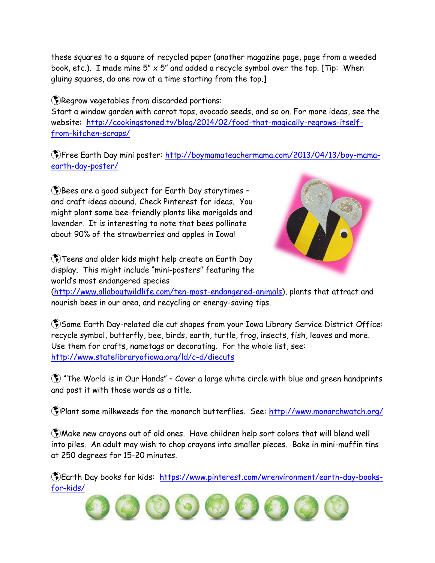these squares to a square of recycled paper (another magazine page, page from a weeded book, etc.). I made mine  $5'' \times 5''$  and added a recycle symbol over the top. [Tip: When gluing squares, do one row at a time starting from the top.]

Regrow vegetables from discarded portions:

Start a window garden with carrot tops, avocado seeds, and so on. For more ideas, see the website: [http://cookingstoned.tv/blog/2014/02/food-that-magically-regrows-itself](http://cookingstoned.tv/blog/2014/02/food-that-magically-regrows-itself-from-kitchen-scraps/)[from-kitchen-scraps/](http://cookingstoned.tv/blog/2014/02/food-that-magically-regrows-itself-from-kitchen-scraps/)

Free Earth Day mini poster: [http://boymamateachermama.com/2013/04/13/boy-mama](http://boymamateachermama.com/2013/04/13/boy-mama-earth-day-poster/)[earth-day-poster/](http://boymamateachermama.com/2013/04/13/boy-mama-earth-day-poster/)

Bees are a good subject for Earth Day storytimes – and craft ideas abound. Check Pinterest for ideas. You might plant some bee-friendly plants like marigolds and lavender. It is interesting to note that bees pollinate about 90% of the strawberries and apples in Iowa!

Teens and older kids might help create an Earth Day display. This might include "mini-posters" featuring the world's most endangered species



[\(http://www.allaboutwildlife.com/ten-most-endangered-animals\)](http://www.allaboutwildlife.com/ten-most-endangered-animals), plants that attract and nourish bees in our area, and recycling or energy-saving tips.

Some Earth Day-related die cut shapes from your Iowa Library Service District Office: recycle symbol, butterfly, bee, birds, earth, turtle, frog, insects, fish, leaves and more. Use them for crafts, nametags or decorating. For the whole list, see: <http://www.statelibraryofiowa.org/ld/c-d/diecuts>

 "The World is in Our Hands" – Cover a large white circle with blue and green handprints and post it with those words as a title.

Plant some milkweeds for the monarch butterflies. See:<http://www.monarchwatch.org/>

Make new crayons out of old ones. Have children help sort colors that will blend well into piles. An adult may wish to chop crayons into smaller pieces. Bake in mini-muffin tins at 250 degrees for 15-20 minutes.

Earth Day books for kids: [https://www.pinterest.com/wrenvironment/earth-day-books](https://www.pinterest.com/wrenvironment/earth-day-books-for-kids/)[for-kids/](https://www.pinterest.com/wrenvironment/earth-day-books-for-kids/)